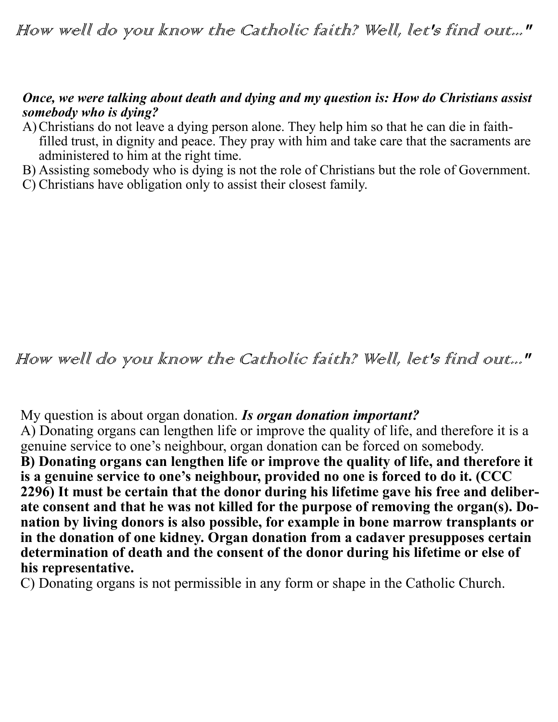### *Once, we were talking about death and dying and my question is: How do Christians assist somebody who is dying?*

- A)Christians do not leave a dying person alone. They help him so that he can die in faithfilled trust, in dignity and peace. They pray with him and take care that the sacraments are administered to him at the right time.
- B) Assisting somebody who is dying is not the role of Christians but the role of Government.
- C) Christians have obligation only to assist their closest family.

# How well do you know the Catholic faith? Well, let's find out..."

My question is about organ donation. *Is organ donation important?*

A) Donating organs can lengthen life or improve the quality of life, and therefore it is a genuine service to one's neighbour, organ donation can be forced on somebody.

**B) Donating organs can lengthen life or improve the quality of life, and therefore it is a genuine service to one's neighbour, provided no one is forced to do it. (CCC 2296) It must be certain that the donor during his lifetime gave his free and deliberate consent and that he was not killed for the purpose of removing the organ(s). Donation by living donors is also possible, for example in bone marrow transplants or in the donation of one kidney. Organ donation from a cadaver presupposes certain determination of death and the consent of the donor during his lifetime or else of his representative.** 

C) Donating organs is not permissible in any form or shape in the Catholic Church.